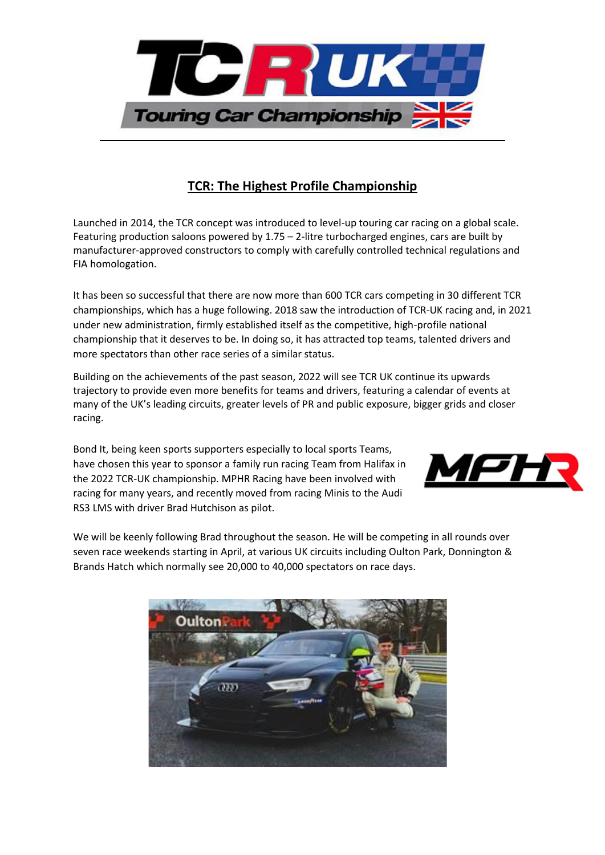

## **TCR: The Highest Profile Championship**

Launched in 2014, the TCR concept was introduced to level-up touring car racing on a global scale. Featuring production saloons powered by 1.75 – 2-litre turbocharged engines, cars are built by manufacturer-approved constructors to comply with carefully controlled technical regulations and FIA homologation.

It has been so successful that there are now more than 600 TCR cars competing in 30 different TCR championships, which has a huge following. 2018 saw the introduction of TCR-UK racing and, in 2021 under new administration, firmly established itself as the competitive, high-profile national championship that it deserves to be. In doing so, it has attracted top teams, talented drivers and more spectators than other race series of a similar status.

Building on the achievements of the past season, 2022 will see TCR UK continue its upwards trajectory to provide even more benefits for teams and drivers, featuring a calendar of events at many of the UK's leading circuits, greater levels of PR and public exposure, bigger grids and closer racing.

Bond It, being keen sports supporters especially to local sports Teams, have chosen this year to sponsor a family run racing Team from Halifax in the 2022 [TCR-UK championship.](https://www.tcr-uk.co.uk/) MPHR Racing have been involved with racing for many years, and recently moved from racing Minis to the Audi RS3 LMS with driver [Brad Hutchison](https://www.facebook.com/BradHutchisonRacing) as pilot.



We will be keenly following Brad throughout the season. He will be competing in all rounds over seven race weekends starting in April, at various UK circuits including Oulton Park, Donnington & Brands Hatch which normally see 20,000 to 40,000 spectators on race days.

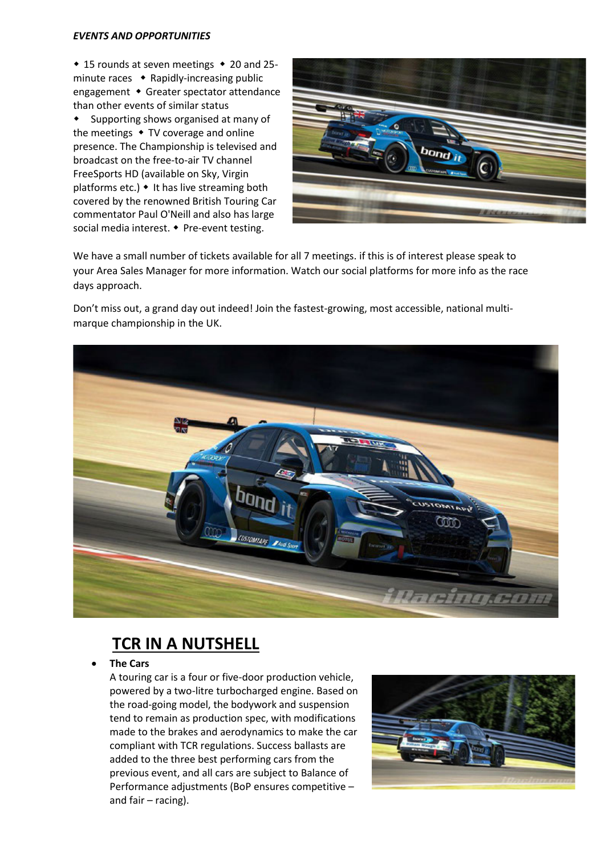#### *EVENTS AND OPPORTUNITIES*

 $\cdot$  15 rounds at seven meetings  $\cdot$  20 and 25minute races  $\bullet$  Rapidly-increasing public engagement • Greater spectator attendance than other events of similar status

 Supporting shows organised at many of the meetings  $\cdot$  TV coverage and online presence. The Championship is televised and broadcast on the free-to-air TV channel FreeSports HD (available on Sky, Virgin platforms etc.)  $\bullet$  It has live streaming both covered by the renowned British Touring Car commentator Paul O'Neill and also has large social media interest. • Pre-event testing.



We have a small number of tickets available for all 7 meetings. if this is of interest please speak to your Area Sales Manager for more information. Watch our social platforms for more info as the race days approach.

Don't miss out, a grand day out indeed! Join the fastest-growing, most accessible, national multimarque championship in the UK.



# **TCR IN A NUTSHELL**

• **The Cars**

A touring car is a four or five-door production vehicle, powered by a two-litre turbocharged engine. Based on the road-going model, the bodywork and suspension tend to remain as production spec, with modifications made to the brakes and aerodynamics to make the car compliant with TCR regulations. Success ballasts are added to the three best performing cars from the previous event, and all cars are subject to Balance of Performance adjustments (BoP ensures competitive – and fair – racing).

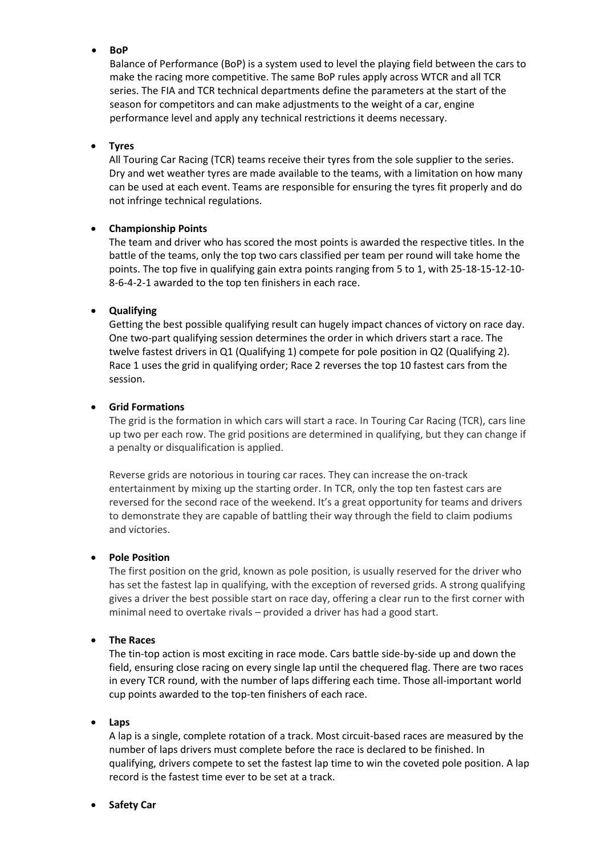• **BoP**

Balance of Performance (BoP) is a system used to level the playing field between the cars to make the racing more competitive. The same BoP rules apply across WTCR and all TCR series. The FIA and TCR technical departments define the parameters at the start of the season for competitors and can make adjustments to the weight of a car, engine performance level and apply any technical restrictions it deems necessary.

#### • **Tyres**

All Touring Car Racing (TCR) teams receive their tyres from the sole supplier to the series. Dry and wet weather tyres are made available to the teams, with a limitation on how many can be used at each event. Teams are responsible for ensuring the tyres fit properly and do not infringe technical regulations.

### • **Championship Points**

The team and driver who has scored the most points is awarded the respective titles. In the battle of the teams, only the top two cars classified per team per round will take home the points. The top five in qualifying gain extra points ranging from 5 to 1, with 25-18-15-12-10- 8-6-4-2-1 awarded to the top ten finishers in each race.

### • **Qualifying**

Getting the best possible qualifying result can hugely impact chances of victory on race day. One two-part qualifying session determines the order in which drivers start a race. The twelve fastest drivers in Q1 (Qualifying 1) compete for pole position in Q2 (Qualifying 2). Race 1 uses the grid in qualifying order; Race 2 reverses the top 10 fastest cars from the session.

#### • **Grid Formations**

The grid is the formation in which cars will start a race. In Touring Car Racing (TCR), cars line up two per each row. The grid positions are determined in qualifying, but they can change if a penalty or disqualification is applied.

Reverse grids are notorious in touring car races. They can increase the on-track entertainment by mixing up the starting order. In TCR, only the top ten fastest cars are reversed for the second race of the weekend. It's a great opportunity for teams and drivers to demonstrate they are capable of battling their way through the field to claim podiums and victories.

#### • **Pole Position**

The first position on the grid, known as pole position, is usually reserved for the driver who has set the fastest lap in qualifying, with the exception of reversed grids. A strong qualifying gives a driver the best possible start on race day, offering a clear run to the first corner with minimal need to overtake rivals – provided a driver has had a good start.

#### • **The Races**

The tin-top action is most exciting in race mode. Cars battle side-by-side up and down the field, ensuring close racing on every single lap until the chequered flag. There are two races in every TCR round, with the number of laps differing each time. Those all-important world cup points awarded to the top-ten finishers of each race.

#### • **Laps**

A lap is a single, complete rotation of a track. Most circuit-based races are measured by the number of laps drivers must complete before the race is declared to be finished. In qualifying, drivers compete to set the fastest lap time to win the coveted pole position. A lap record is the fastest time ever to be set at a track.

• **Safety Car**